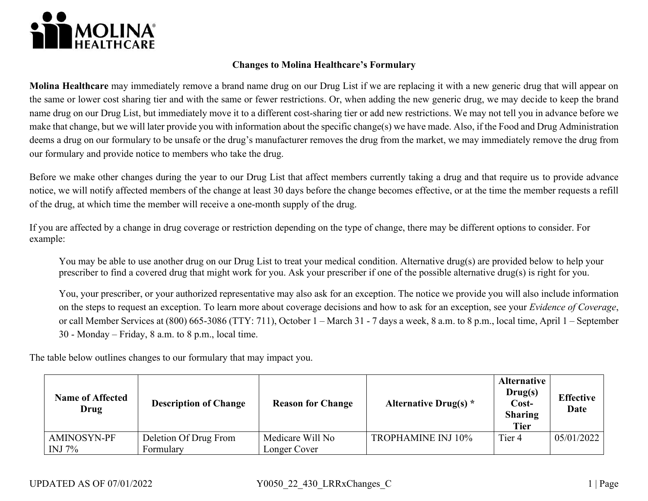

## **Changes to Molina Healthcare's Formulary**

 **Molina Healthcare** may immediately remove a brand name drug on our Drug List if we are replacing it with a new generic drug that will appear on the same or lower cost sharing tier and with the same or fewer restrictions. Or, when adding the new generic drug, we may decide to keep the brand name drug on our Drug List, but immediately move it to a different cost-sharing tier or add new restrictions. We may not tell you in advance before we make that change, but we will later provide you with information about the specific change(s) we have made. Also, if the Food and Drug Administration deems a drug on our formulary to be unsafe or the drug's manufacturer removes the drug from the market, we may immediately remove the drug from our formulary and provide notice to members who take the drug.

 Before we make other changes during the year to our Drug List that affect members currently taking a drug and that require us to provide advance notice, we will notify affected members of the change at least 30 days before the change becomes effective, or at the time the member requests a refill of the drug, at which time the member will receive a one-month supply of the drug.

If you are affected by a change in drug coverage or restriction depending on the type of change, there may be different options to consider. For example:

You may be able to use another drug on our Drug List to treat your medical condition. Alternative drug(s) are provided below to help your prescriber to find a covered drug that might work for you. Ask your prescriber if one of the possible alternative drug(s) is right for you.

 You, your prescriber, or your authorized representative may also ask for an exception. The notice we provide you will also include information or call Member Services at (800) 665-3086 (TTY: 711), October 1 – March 31 - 7 days a week, 8 a.m. to 8 p.m., local time, April 1 – September on the steps to request an exception. To learn more about coverage decisions and how to ask for an exception, see your *Evidence of Coverage*, 30 - Monday – Friday, 8 a.m. to 8 p.m., local time.

The table below outlines changes to our formulary that may impact you.

| <b>Name of Affected</b><br>Drug | <b>Description of Change</b> | <b>Reason for Change</b> | Alternative Drug(s) $*$   | <b>Alternative</b><br>Drug(s)<br>Cost-<br><b>Sharing</b><br><b>Tier</b> | <b>Effective</b><br>Date |
|---------------------------------|------------------------------|--------------------------|---------------------------|-------------------------------------------------------------------------|--------------------------|
| AMINOSYN-PF                     | Deletion Of Drug From        | Medicare Will No         | <b>TROPHAMINE INJ 10%</b> | Tier <sub>4</sub>                                                       | 05/01/2022               |
| INJ $7\%$                       | Formulary                    | Longer Cover             |                           |                                                                         |                          |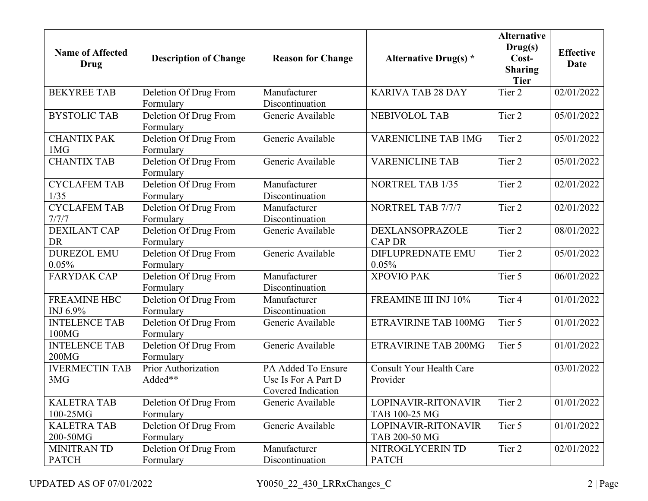| <b>Name of Affected</b><br><b>Drug</b> | <b>Description of Change</b>       | <b>Reason for Change</b>                                        | <b>Alternative Drug(s)</b> *                | <b>Alternative</b><br>Drug(s)<br>Cost-<br><b>Sharing</b><br><b>Tier</b> | <b>Effective</b><br><b>Date</b> |
|----------------------------------------|------------------------------------|-----------------------------------------------------------------|---------------------------------------------|-------------------------------------------------------------------------|---------------------------------|
| <b>BEKYREE TAB</b>                     | Deletion Of Drug From              | Manufacturer                                                    | <b>KARIVA TAB 28 DAY</b>                    | Tier 2                                                                  | 02/01/2022                      |
|                                        | Formulary                          | Discontinuation                                                 |                                             |                                                                         |                                 |
| <b>BYSTOLIC TAB</b>                    | Deletion Of Drug From<br>Formulary | Generic Available                                               | <b>NEBIVOLOL TAB</b>                        | Tier 2                                                                  | 05/01/2022                      |
| <b>CHANTIX PAK</b><br>1MG              | Deletion Of Drug From<br>Formulary | Generic Available                                               | <b>VARENICLINE TAB 1MG</b>                  | Tier 2                                                                  | 05/01/2022                      |
| <b>CHANTIX TAB</b>                     | Deletion Of Drug From<br>Formulary | Generic Available                                               | <b>VARENICLINE TAB</b>                      | Tier 2                                                                  | 05/01/2022                      |
| <b>CYCLAFEM TAB</b><br>1/35            | Deletion Of Drug From<br>Formulary | Manufacturer<br>Discontinuation                                 | <b>NORTREL TAB 1/35</b>                     | Tier 2                                                                  | 02/01/2022                      |
| <b>CYCLAFEM TAB</b>                    | Deletion Of Drug From              | Manufacturer                                                    | NORTREL TAB 7/7/7                           | Tier 2                                                                  | 02/01/2022                      |
| 7/7/7                                  | Formulary                          | Discontinuation                                                 |                                             |                                                                         |                                 |
| <b>DEXILANT CAP</b><br><b>DR</b>       | Deletion Of Drug From<br>Formulary | Generic Available                                               | <b>DEXLANSOPRAZOLE</b><br><b>CAP DR</b>     | Tier 2                                                                  | 08/01/2022                      |
| <b>DUREZOL EMU</b><br>0.05%            | Deletion Of Drug From<br>Formulary | Generic Available                                               | <b>DIFLUPREDNATE EMU</b><br>0.05%           | Tier 2                                                                  | 05/01/2022                      |
| <b>FARYDAK CAP</b>                     | Deletion Of Drug From<br>Formulary | Manufacturer<br>Discontinuation                                 | <b>XPOVIO PAK</b>                           | Tier 5                                                                  | 06/01/2022                      |
| <b>FREAMINE HBC</b><br>INJ 6.9%        | Deletion Of Drug From<br>Formulary | Manufacturer<br>Discontinuation                                 | FREAMINE III INJ 10%                        | Tier 4                                                                  | 01/01/2022                      |
| <b>INTELENCE TAB</b><br>100MG          | Deletion Of Drug From<br>Formulary | Generic Available                                               | <b>ETRAVIRINE TAB 100MG</b>                 | Tier 5                                                                  | 01/01/2022                      |
| <b>INTELENCE TAB</b><br>200MG          | Deletion Of Drug From<br>Formulary | Generic Available                                               | <b>ETRAVIRINE TAB 200MG</b>                 | Tier 5                                                                  | 01/01/2022                      |
| <b>IVERMECTIN TAB</b><br>3MG           | Prior Authorization<br>Added**     | PA Added To Ensure<br>Use Is For A Part D<br>Covered Indication | <b>Consult Your Health Care</b><br>Provider |                                                                         | 03/01/2022                      |
| <b>KALETRA TAB</b><br>100-25MG         | Deletion Of Drug From<br>Formulary | Generic Available                                               | LOPINAVIR-RITONAVIR<br>TAB 100-25 MG        | Tier 2                                                                  | 01/01/2022                      |
| <b>KALETRA TAB</b><br>200-50MG         | Deletion Of Drug From<br>Formulary | Generic Available                                               | LOPINAVIR-RITONAVIR<br>TAB 200-50 MG        | Tier 5                                                                  | 01/01/2022                      |
| <b>MINITRAN TD</b><br><b>PATCH</b>     | Deletion Of Drug From<br>Formulary | Manufacturer<br>Discontinuation                                 | NITROGLYCERIN TD<br><b>PATCH</b>            | Tier 2                                                                  | 02/01/2022                      |